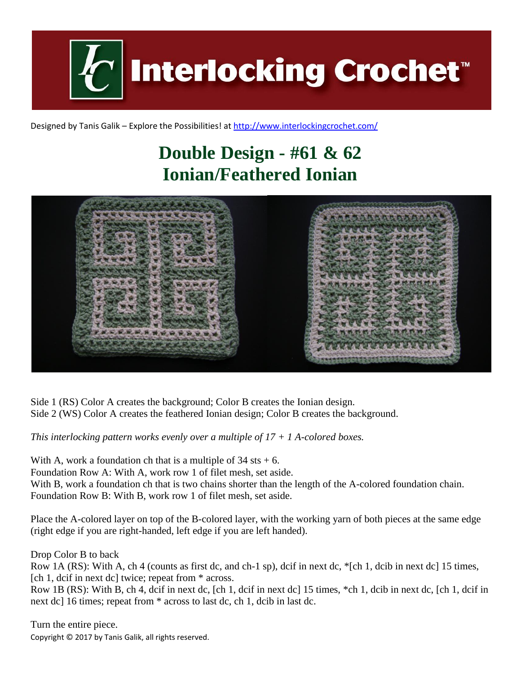

Designed by Tanis Galik – Explore the Possibilities! a[t http://www.interlockingcrochet.com/](http://www.interlockingcrochet.com/)

# **Double Design - #61 & 62 Ionian/Feathered Ionian**



Side 1 (RS) Color A creates the background; Color B creates the Ionian design. Side 2 (WS) Color A creates the feathered Ionian design; Color B creates the background.

*This interlocking pattern works evenly over a multiple of 17 + 1 A-colored boxes.*

With A, work a foundation ch that is a multiple of  $34$  sts  $+ 6$ . Foundation Row A: With A, work row 1 of filet mesh, set aside. With B, work a foundation ch that is two chains shorter than the length of the A-colored foundation chain. Foundation Row B: With B, work row 1 of filet mesh, set aside.

Place the A-colored layer on top of the B-colored layer, with the working yarn of both pieces at the same edge (right edge if you are right-handed, left edge if you are left handed).

Drop Color B to back

Row 1A (RS): With A, ch 4 (counts as first dc, and ch-1 sp), dcif in next dc, \*[ch 1, dcib in next dc] 15 times, [ch 1, dcif in next dc] twice; repeat from \* across.

Row 1B (RS): With B, ch 4, dcif in next dc, [ch 1, dcif in next dc] 15 times, \*ch 1, dcib in next dc, [ch 1, dcif in next dc] 16 times; repeat from \* across to last dc, ch 1, dcib in last dc.

Copyright © 2017 by Tanis Galik, all rights reserved. Turn the entire piece.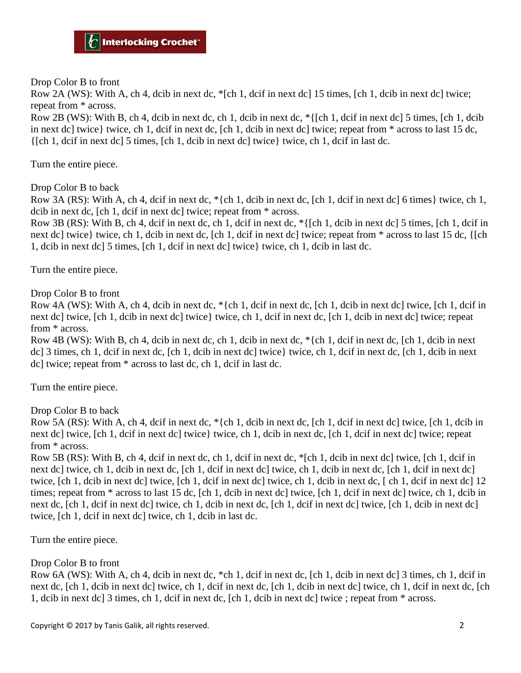Drop Color B to front

Row 2A (WS): With A, ch 4, dcib in next dc, \*[ch 1, dcif in next dc] 15 times, [ch 1, dcib in next dc] twice; repeat from \* across.

Row 2B (WS): With B, ch 4, dcib in next dc, ch 1, dcib in next dc, \*{[ch 1, dcif in next dc] 5 times, [ch 1, dcib in next dc] twice} twice, ch 1, dcif in next dc, [ch 1, dcib in next dc] twice; repeat from \* across to last 15 dc,  $\{\lceil \text{ch } 1, \text{dcif in next del } 5 \text{ times. } \lceil \text{ch } 1, \text{dcib in next del twice } \}$  twice, ch 1, dcif in last dc.

Turn the entire piece.

Drop Color B to back

Row 3A (RS): With A, ch 4, dcif in next dc, \*{ch 1, dcib in next dc, [ch 1, dcif in next dc] 6 times} twice, ch 1, dcib in next dc, [ch 1, dcif in next dc] twice; repeat from \* across.

Row 3B (RS): With B, ch 4, dcif in next dc, ch 1, dcif in next dc, \*{[ch 1, dcib in next dc] 5 times, [ch 1, dcif in next dc] twice} twice, ch 1, dcib in next dc, [ch 1, dcif in next dc] twice; repeat from \* across to last 15 dc, {[ch 1, dcib in next dc] 5 times, [ch 1, dcif in next dc] twice} twice, ch 1, dcib in last dc.

Turn the entire piece.

Drop Color B to front

Row 4A (WS): With A, ch 4, dcib in next dc, \*{ch 1, dcif in next dc, [ch 1, dcib in next dc] twice, [ch 1, dcif in next dc] twice, [ch 1, dcib in next dc] twice} twice, ch 1, dcif in next dc, [ch 1, dcib in next dc] twice; repeat from \* across.

Row 4B (WS): With B, ch 4, dcib in next dc, ch 1, dcib in next dc, \*{ch 1, dcif in next dc, [ch 1, dcib in next dc] 3 times, ch 1, dcif in next dc, [ch 1, dcib in next dc] twice} twice, ch 1, dcif in next dc, [ch 1, dcib in next dc] twice; repeat from \* across to last dc, ch 1, dcif in last dc.

Turn the entire piece.

Drop Color B to back

Row 5A (RS): With A, ch 4, dcif in next dc, \*{ch 1, dcib in next dc, [ch 1, dcif in next dc] twice, [ch 1, dcib in next dc] twice, [ch 1, dcif in next dc] twice} twice, ch 1, dcib in next dc, [ch 1, dcif in next dc] twice; repeat from \* across.

Row 5B (RS): With B, ch 4, dcif in next dc, ch 1, dcif in next dc, \*[ch 1, dcib in next dc] twice, [ch 1, dcif in next dc] twice, ch 1, dcib in next dc, [ch 1, dcif in next dc] twice, ch 1, dcib in next dc, [ch 1, dcif in next dc] twice, [ch 1, dcib in next dc] twice, [ch 1, dcif in next dc] twice, ch 1, dcib in next dc, [ ch 1, dcif in next dc] 12 times; repeat from \* across to last 15 dc, [ch 1, dcib in next dc] twice, [ch 1, dcif in next dc] twice, ch 1, dcib in next dc, [ch 1, dcif in next dc] twice, ch 1, dcib in next dc, [ch 1, dcif in next dc] twice, [ch 1, dcib in next dc] twice, [ch 1, dcif in next dc] twice, ch 1, dcib in last dc.

Turn the entire piece.

#### Drop Color B to front

Row 6A (WS): With A, ch 4, dcib in next dc, \*ch 1, dcif in next dc, [ch 1, dcib in next dc] 3 times, ch 1, dcif in next dc, [ch 1, dcib in next dc] twice, ch 1, dcif in next dc, [ch 1, dcib in next dc] twice, ch 1, dcif in next dc, [ch 1, dcib in next dc] 3 times, ch 1, dcif in next dc, [ch 1, dcib in next dc] twice ; repeat from \* across.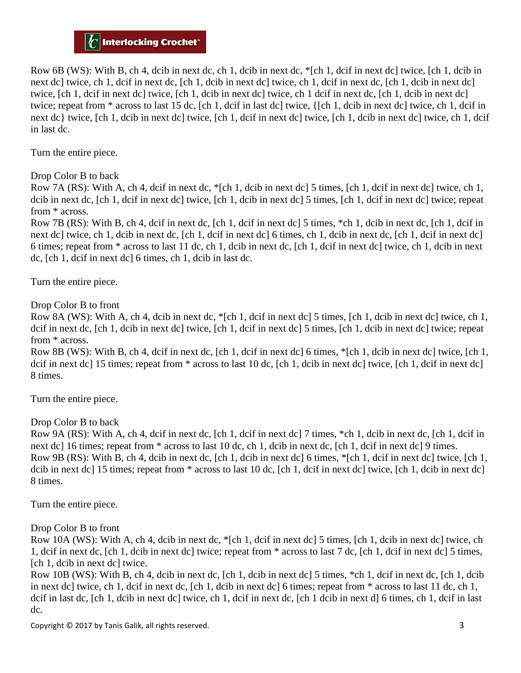### $\left| C \right|$  Interlocking Crochet $^{\circ}$

Row 6B (WS): With B, ch 4, dcib in next dc, ch 1, dcib in next dc, \*[ch 1, dcif in next dc] twice, [ch 1, dcib in next dc] twice, ch 1, dcif in next dc, [ch 1, dcib in next dc] twice, ch 1, dcif in next dc, [ch 1, dcib in next dc] twice, [ch 1, dcif in next dc] twice, [ch 1, dcib in next dc] twice, ch 1 dcif in next dc, [ch 1, dcib in next dc] twice; repeat from \* across to last 15 dc, [ch 1, dcif in last dc] twice, {[ch 1, dcib in next dc] twice, ch 1, dcif in next dc} twice, [ch 1, dcib in next dc] twice, [ch 1, dcif in next dc] twice, [ch 1, dcib in next dc] twice, ch 1, dcif in last dc.

Turn the entire piece.

Drop Color B to back

Row 7A (RS): With A, ch 4, dcif in next dc, \*[ch 1, dcib in next dc] 5 times, [ch 1, dcif in next dc] twice, ch 1, dcib in next dc, [ch 1, dcif in next dc] twice, [ch 1, dcib in next dc] 5 times, [ch 1, dcif in next dc] twice; repeat from \* across.

Row 7B (RS): With B, ch 4, dcif in next dc, [ch 1, dcif in next dc] 5 times, \*ch 1, dcib in next dc, [ch 1, dcif in next dc] twice, ch 1, dcib in next dc, [ch 1, dcif in next dc] 6 times, ch 1, dcib in next dc, [ch 1, dcif in next dc] 6 times; repeat from \* across to last 11 dc, ch 1, dcib in next dc, [ch 1, dcif in next dc] twice, ch 1, dcib in next dc, [ch 1, dcif in next dc] 6 times, ch 1, dcib in last dc.

Turn the entire piece.

Drop Color B to front

Row 8A (WS): With A, ch 4, dcib in next dc, \*[ch 1, dcif in next dc] 5 times, [ch 1, dcib in next dc] twice, ch 1, dcif in next dc, [ch 1, dcib in next dc] twice, [ch 1, dcif in next dc] 5 times, [ch 1, dcib in next dc] twice; repeat from \* across.

Row 8B (WS): With B, ch 4, dcif in next dc, [ch 1, dcif in next dc] 6 times, \*[ch 1, dcib in next dc] twice, [ch 1, dcif in next dc] 15 times; repeat from  $*$  across to last 10 dc, [ch 1, dcib in next dc] twice, [ch 1, dcif in next dc] 8 times.

Turn the entire piece.

Drop Color B to back

Row 9A (RS): With A, ch 4, dcif in next dc, [ch 1, dcif in next dc] 7 times, \*ch 1, dcib in next dc, [ch 1, dcif in next dc] 16 times; repeat from  $*$  across to last 10 dc, ch 1, dcib in next dc, [ch 1, dcif in next dc] 9 times. Row 9B (RS): With B, ch 4, dcib in next dc, [ch 1, dcib in next dc] 6 times, \*[ch 1, dcif in next dc] twice, [ch 1, dcib in next dc] 15 times; repeat from  $*$  across to last 10 dc, [ch 1, dcif in next dc] twice, [ch 1, dcib in next dc] 8 times.

Turn the entire piece.

Drop Color B to front

Row 10A (WS): With A, ch 4, dcib in next dc, \*[ch 1, dcif in next dc] 5 times, [ch 1, dcib in next dc] twice, ch 1, dcif in next dc, [ch 1, dcib in next dc] twice; repeat from \* across to last 7 dc, [ch 1, dcif in next dc] 5 times, [ch 1, dcib in next dc] twice.

Row 10B (WS): With B, ch 4, dcib in next dc, [ch 1, dcib in next dc] 5 times, \*ch 1, dcif in next dc, [ch 1, dcib in next dc] twice, ch 1, dcif in next dc, [ch 1, dcib in next dc] 6 times; repeat from \* across to last 11 dc, ch 1, dcif in last dc, [ch 1, dcib in next dc] twice, ch 1, dcif in next dc, [ch 1 dcib in next d] 6 times, ch 1, dcif in last dc.

Copyright © 2017 by Tanis Galik, all rights reserved. 3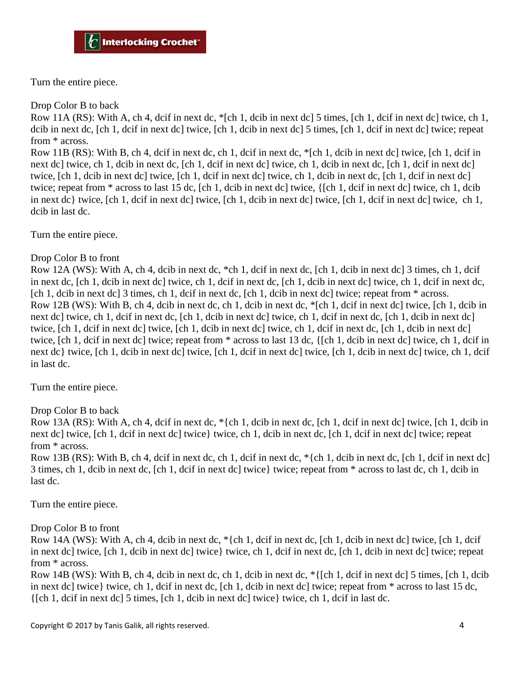Turn the entire piece.

Drop Color B to back

Row 11A (RS): With A, ch 4, dcif in next dc,  $\frac{*}{ }$  [ch 1, dcib in next dc] 5 times, [ch 1, dcif in next dc] twice, ch 1, dcib in next dc, [ch 1, dcif in next dc] twice, [ch 1, dcib in next dc] 5 times, [ch 1, dcif in next dc] twice; repeat from \* across.

Row 11B (RS): With B, ch 4, dcif in next dc, ch 1, dcif in next dc, \*[ch 1, dcib in next dc] twice, [ch 1, dcif in next dc] twice, ch 1, dcib in next dc, [ch 1, dcif in next dc] twice, ch 1, dcib in next dc, [ch 1, dcif in next dc] twice, [ch 1, dcib in next dc] twice, [ch 1, dcif in next dc] twice, ch 1, dcib in next dc, [ch 1, dcif in next dc] twice; repeat from \* across to last 15 dc, [ch 1, dcib in next dc] twice, {[ch 1, dcif in next dc] twice, ch 1, dcib in next dc} twice, [ch 1, dcif in next dc] twice, [ch 1, dcib in next dc] twice, [ch 1, dcif in next dc] twice, ch 1, dcib in last dc.

Turn the entire piece.

#### Drop Color B to front

Row 12A (WS): With A, ch 4, dcib in next dc, \*ch 1, dcif in next dc, [ch 1, dcib in next dc] 3 times, ch 1, dcif in next dc, [ch 1, dcib in next dc] twice, ch 1, dcif in next dc, [ch 1, dcib in next dc] twice, ch 1, dcif in next dc, [ch 1, dcib in next dc] 3 times, ch 1, dcif in next dc, [ch 1, dcib in next dc] twice; repeat from \* across. Row 12B (WS): With B, ch 4, dcib in next dc, ch 1, dcib in next dc, \*[ch 1, dcif in next dc] twice, [ch 1, dcib in next dc] twice, ch 1, dcif in next dc, [ch 1, dcib in next dc] twice, ch 1, dcif in next dc, [ch 1, dcib in next dc] twice, [ch 1, dcif in next dc] twice, [ch 1, dcib in next dc] twice, ch 1, dcif in next dc, [ch 1, dcib in next dc] twice, [ch 1, dcif in next dc] twice; repeat from \* across to last 13 dc, {[ch 1, dcib in next dc] twice, ch 1, dcif in next dc} twice, [ch 1, dcib in next dc] twice, [ch 1, dcif in next dc] twice, [ch 1, dcib in next dc] twice, ch 1, dcif in last dc.

Turn the entire piece.

Drop Color B to back

Row 13A (RS): With A, ch 4, dcif in next dc,  $*\{ch 1$ , dcib in next dc,  $[ch 1, \text{dcif}$  in next dc $]$  twice,  $[ch 1, \text{dcib}$  in next dc] twice, [ch 1, dcif in next dc] twice} twice, ch 1, dcib in next dc, [ch 1, dcif in next dc] twice; repeat from \* across.

Row 13B (RS): With B, ch 4, dcif in next dc, ch 1, dcif in next dc,  $\{ch 1, deib in next dc, [ch 1, deif in next dc]$ 3 times, ch 1, dcib in next dc, [ch 1, dcif in next dc] twice} twice; repeat from \* across to last dc, ch 1, dcib in last dc.

Turn the entire piece.

Drop Color B to front

Row 14A (WS): With A, ch 4, dcib in next dc, \*{ch 1, dcif in next dc, [ch 1, dcib in next dc] twice, [ch 1, dcif in next dc] twice, [ch 1, dcib in next dc] twice} twice, ch 1, dcif in next dc, [ch 1, dcib in next dc] twice; repeat from \* across.

Row 14B (WS): With B, ch 4, dcib in next dc, ch 1, dcib in next dc, \*{[ch 1, dcif in next dc] 5 times, [ch 1, dcib in next dc] twice} twice, ch 1, dcif in next dc, [ch 1, dcib in next dc] twice; repeat from \* across to last 15 dc, {[ch 1, dcif in next dc] 5 times, [ch 1, dcib in next dc] twice} twice, ch 1, dcif in last dc.